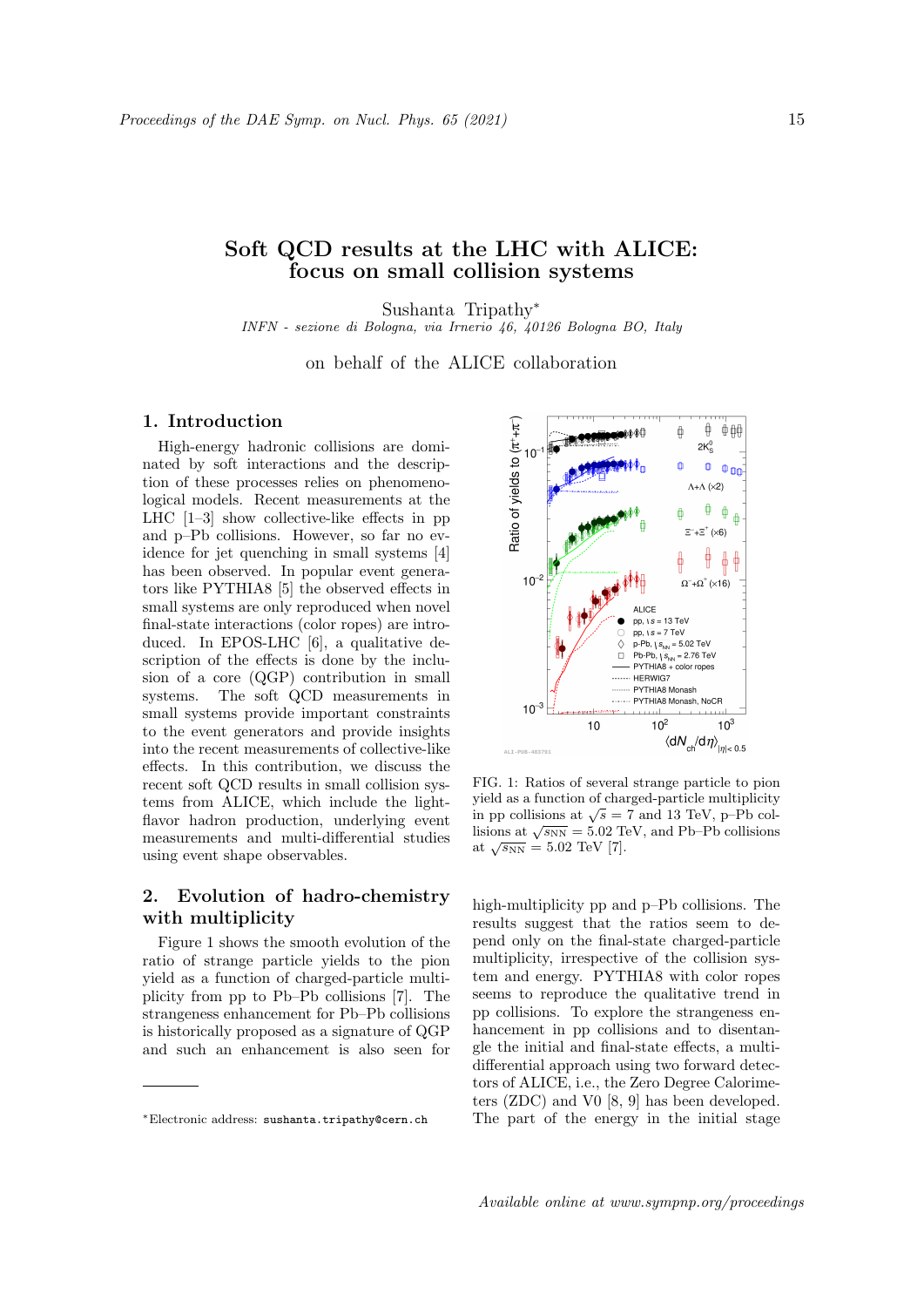# Soft QCD results at the LHC with ALICE: focus on small collision systems

Sushanta Tripathy<sup>∗</sup>

INFN - sezione di Bologna, via Irnerio 46, 40126 Bologna BO, Italy

on behalf of the ALICE collaboration

#### 1. Introduction

High-energy hadronic collisions are dominated by soft interactions and the description of these processes relies on phenomenological models. Recent measurements at the LHC [1–3] show collective-like effects in pp and p–Pb collisions. However, so far no evidence for jet quenching in small systems [4] has been observed. In popular event generators like PYTHIA8 [5] the observed effects in small systems are only reproduced when novel final-state interactions (color ropes) are introduced. In EPOS-LHC [6], a qualitative description of the effects is done by the inclusion of a core (QGP) contribution in small systems. The soft QCD measurements in small systems provide important constraints to the event generators and provide insights into the recent measurements of collective-like effects. In this contribution, we discuss the recent soft QCD results in small collision systems from ALICE, which include the lightflavor hadron production, underlying event measurements and multi-differential studies using event shape observables.

## 2. Evolution of hadro-chemistry with multiplicity

Figure 1 shows the smooth evolution of the ratio of strange particle yields to the pion yield as a function of charged-particle multiplicity from pp to Pb–Pb collisions [7]. The strangeness enhancement for Pb–Pb collisions is historically proposed as a signature of QGP and such an enhancement is also seen for



FIG. 1: Ratios of several strange particle to pion yield as a function of charged-particle multiplicity yield as a function of charged-particle multiplicity<br>in pp collisions at  $\sqrt{s} = 7$  and 13 TeV, p–Pb collisions at  $\sqrt{s_{NN}} = 5.02$  TeV, and Pb–Pb collisions  $\frac{\text{m}^2}{\text{at } \sqrt{s_{\text{NN}}}} = 5.02 \text{ TeV} [7].$ 

high-multiplicity pp and p–Pb collisions. The results suggest that the ratios seem to depend only on the final-state charged-particle multiplicity, irrespective of the collision system and energy. PYTHIA8 with color ropes seems to reproduce the qualitative trend in pp collisions. To explore the strangeness enhancement in pp collisions and to disentangle the initial and final-state effects, a multidifferential approach using two forward detectors of ALICE, i.e., the Zero Degree Calorimeters (ZDC) and V0 [8, 9] has been developed. The part of the energy in the initial stage

<sup>∗</sup>Electronic address: sushanta.tripathy@cern.ch